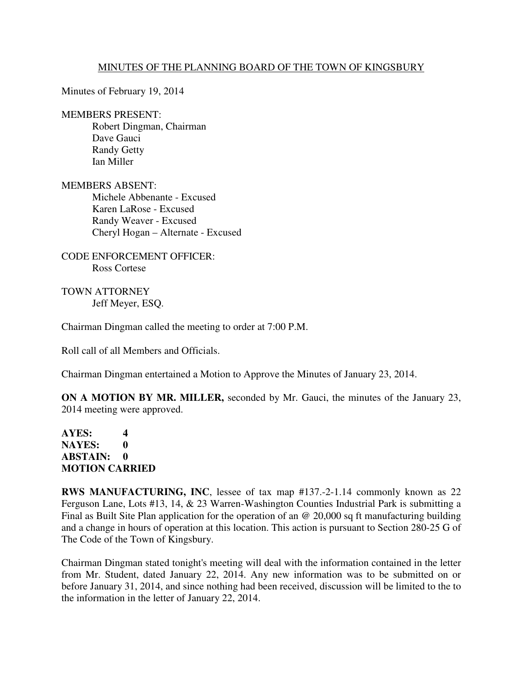## MINUTES OF THE PLANNING BOARD OF THE TOWN OF KINGSBURY

Minutes of February 19, 2014

## MEMBERS PRESENT:

 Robert Dingman, Chairman Dave Gauci Randy Getty Ian Miller

MEMBERS ABSENT: Michele Abbenante - Excused

 Karen LaRose - Excused Randy Weaver - Excused Cheryl Hogan – Alternate - Excused

CODE ENFORCEMENT OFFICER: Ross Cortese

TOWN ATTORNEY Jeff Meyer, ESQ.

Chairman Dingman called the meeting to order at 7:00 P.M.

Roll call of all Members and Officials.

Chairman Dingman entertained a Motion to Approve the Minutes of January 23, 2014.

**ON A MOTION BY MR. MILLER,** seconded by Mr. Gauci, the minutes of the January 23, 2014 meeting were approved.

## **AYES: 4 NAYES: 0 ABSTAIN: 0 MOTION CARRIED**

**RWS MANUFACTURING, INC**, lessee of tax map #137.-2-1.14 commonly known as 22 Ferguson Lane, Lots #13, 14, & 23 Warren-Washington Counties Industrial Park is submitting a Final as Built Site Plan application for the operation of an @ 20,000 sq ft manufacturing building and a change in hours of operation at this location. This action is pursuant to Section 280-25 G of The Code of the Town of Kingsbury.

Chairman Dingman stated tonight's meeting will deal with the information contained in the letter from Mr. Student, dated January 22, 2014. Any new information was to be submitted on or before January 31, 2014, and since nothing had been received, discussion will be limited to the to the information in the letter of January 22, 2014.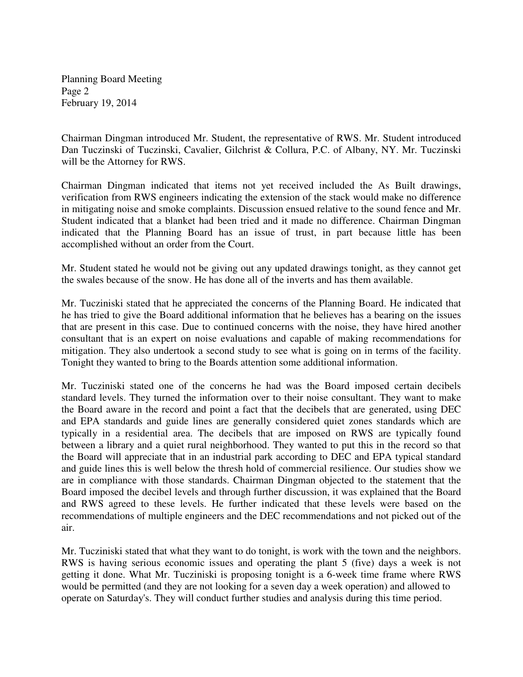Planning Board Meeting Page 2 February 19, 2014

Chairman Dingman introduced Mr. Student, the representative of RWS. Mr. Student introduced Dan Tuczinski of Tuczinski, Cavalier, Gilchrist & Collura, P.C. of Albany, NY. Mr. Tuczinski will be the Attorney for RWS.

Chairman Dingman indicated that items not yet received included the As Built drawings, verification from RWS engineers indicating the extension of the stack would make no difference in mitigating noise and smoke complaints. Discussion ensued relative to the sound fence and Mr. Student indicated that a blanket had been tried and it made no difference. Chairman Dingman indicated that the Planning Board has an issue of trust, in part because little has been accomplished without an order from the Court.

Mr. Student stated he would not be giving out any updated drawings tonight, as they cannot get the swales because of the snow. He has done all of the inverts and has them available.

Mr. Tucziniski stated that he appreciated the concerns of the Planning Board. He indicated that he has tried to give the Board additional information that he believes has a bearing on the issues that are present in this case. Due to continued concerns with the noise, they have hired another consultant that is an expert on noise evaluations and capable of making recommendations for mitigation. They also undertook a second study to see what is going on in terms of the facility. Tonight they wanted to bring to the Boards attention some additional information.

Mr. Tucziniski stated one of the concerns he had was the Board imposed certain decibels standard levels. They turned the information over to their noise consultant. They want to make the Board aware in the record and point a fact that the decibels that are generated, using DEC and EPA standards and guide lines are generally considered quiet zones standards which are typically in a residential area. The decibels that are imposed on RWS are typically found between a library and a quiet rural neighborhood. They wanted to put this in the record so that the Board will appreciate that in an industrial park according to DEC and EPA typical standard and guide lines this is well below the thresh hold of commercial resilience. Our studies show we are in compliance with those standards. Chairman Dingman objected to the statement that the Board imposed the decibel levels and through further discussion, it was explained that the Board and RWS agreed to these levels. He further indicated that these levels were based on the recommendations of multiple engineers and the DEC recommendations and not picked out of the air.

Mr. Tucziniski stated that what they want to do tonight, is work with the town and the neighbors. RWS is having serious economic issues and operating the plant 5 (five) days a week is not getting it done. What Mr. Tucziniski is proposing tonight is a 6-week time frame where RWS would be permitted (and they are not looking for a seven day a week operation) and allowed to operate on Saturday's. They will conduct further studies and analysis during this time period.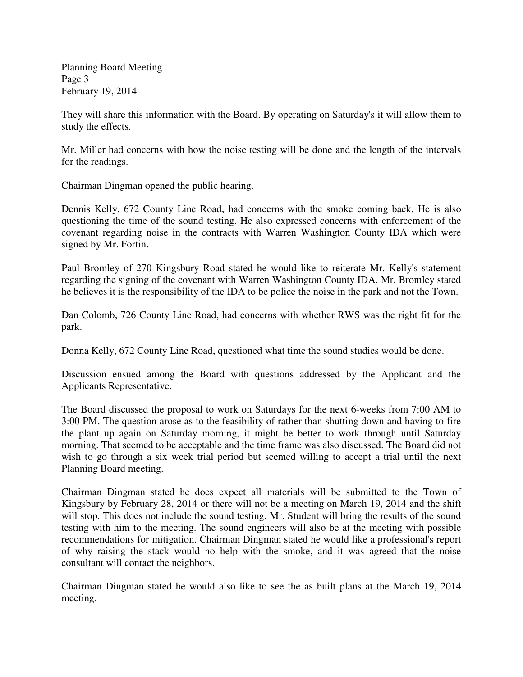Planning Board Meeting Page 3 February 19, 2014

They will share this information with the Board. By operating on Saturday's it will allow them to study the effects.

Mr. Miller had concerns with how the noise testing will be done and the length of the intervals for the readings.

Chairman Dingman opened the public hearing.

Dennis Kelly, 672 County Line Road, had concerns with the smoke coming back. He is also questioning the time of the sound testing. He also expressed concerns with enforcement of the covenant regarding noise in the contracts with Warren Washington County IDA which were signed by Mr. Fortin.

Paul Bromley of 270 Kingsbury Road stated he would like to reiterate Mr. Kelly's statement regarding the signing of the covenant with Warren Washington County IDA. Mr. Bromley stated he believes it is the responsibility of the IDA to be police the noise in the park and not the Town.

Dan Colomb, 726 County Line Road, had concerns with whether RWS was the right fit for the park.

Donna Kelly, 672 County Line Road, questioned what time the sound studies would be done.

Discussion ensued among the Board with questions addressed by the Applicant and the Applicants Representative.

The Board discussed the proposal to work on Saturdays for the next 6-weeks from 7:00 AM to 3:00 PM. The question arose as to the feasibility of rather than shutting down and having to fire the plant up again on Saturday morning, it might be better to work through until Saturday morning. That seemed to be acceptable and the time frame was also discussed. The Board did not wish to go through a six week trial period but seemed willing to accept a trial until the next Planning Board meeting.

Chairman Dingman stated he does expect all materials will be submitted to the Town of Kingsbury by February 28, 2014 or there will not be a meeting on March 19, 2014 and the shift will stop. This does not include the sound testing. Mr. Student will bring the results of the sound testing with him to the meeting. The sound engineers will also be at the meeting with possible recommendations for mitigation. Chairman Dingman stated he would like a professional's report of why raising the stack would no help with the smoke, and it was agreed that the noise consultant will contact the neighbors.

Chairman Dingman stated he would also like to see the as built plans at the March 19, 2014 meeting.